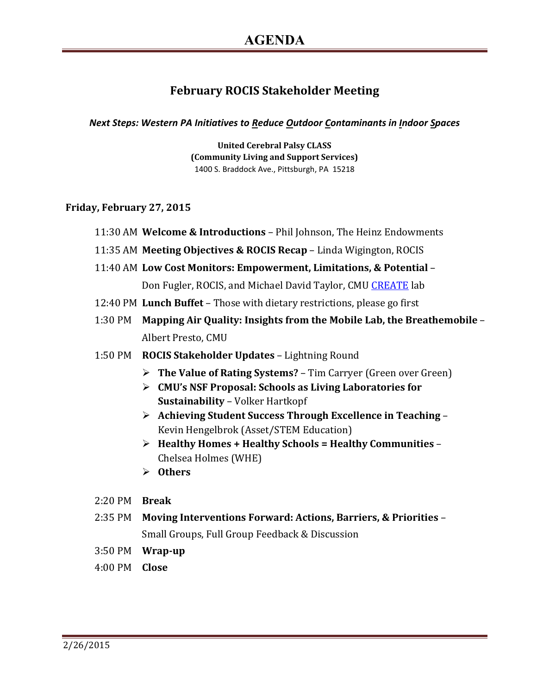## **February ROCIS Stakeholder Meeting**

*Next Steps: Western PA Initiatives to Reduce Outdoor Contaminants in Indoor Spaces*

**United Cerebral Palsy CLASS (Community Living and Support Services)** 1400 S. Braddock Ave., Pittsburgh, PA 15218

## **Friday, February 27, 2015**

- 11:30 AM **Welcome & Introductions** Phil Johnson, The Heinz Endowments
- 11:35 AM **Meeting Objectives & ROCIS Recap** Linda Wigington, ROCIS
- 11:40 AM **Low Cost Monitors: Empowerment, Limitations, & Potential** –

Don Fugler, ROCIS, and Michael David Taylor, CMU [CREATE](http://cmucreatelab.org/) lab

- 12:40 PM **Lunch Buffet** Those with dietary restrictions, please go first
- 1:30 PM **Mapping Air Quality: Insights from the Mobile Lab, the Breathemobile**  Albert Presto, CMU
- 1:50 PM **ROCIS Stakeholder Updates**  Lightning Round
	- **The Value of Rating Systems?** Tim Carryer (Green over Green)
	- **CMU's NSF Proposal: Schools as Living Laboratories for Sustainability** – Volker Hartkopf
	- **Achieving Student Success Through Excellence in Teaching** Kevin Hengelbrok (Asset/STEM Education)
	- **Healthy Homes + Healthy Schools = Healthy Communities** Chelsea Holmes (WHE)
	- **Others**
- 2:20 PM **Break**
- 2:35 PM **Moving Interventions Forward: Actions, Barriers, & Priorities** Small Groups, Full Group Feedback & Discussion
- 3:50 PM **Wrap-up**
- 4:00 PM **Close**